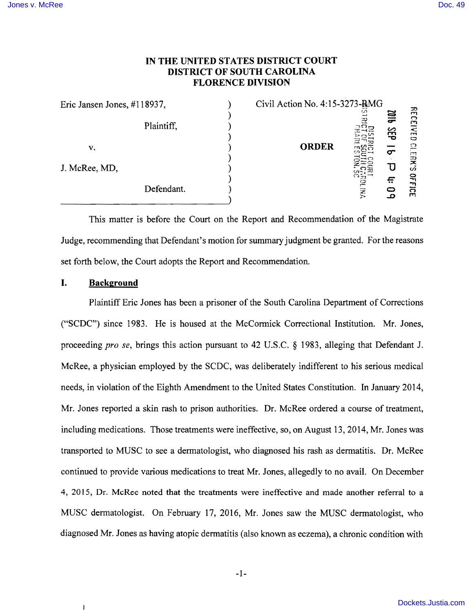# **IN THE UNITED STATES DISTRICT COURT DISTRICT OF SOUTH CAROLINA FLORENCE DIVISION**

| Eric Jansen Jones, #118937, |            |  | Civil Action No. 4:15-3273-RMG |            |                 |                                  |
|-----------------------------|------------|--|--------------------------------|------------|-----------------|----------------------------------|
|                             | Plaintiff, |  |                                | w          | qip<br><b>给</b> | 꼮<br>ా<br>ElvE<br>$\mathbf{\Xi}$ |
| v.                          |            |  | <b>ORDER</b>                   |            | $\sigma$        | ာ<br>Ħ                           |
| J. McRee, MD,               |            |  |                                |            |                 | 곶<br>ဟဲ                          |
|                             | Defendant. |  |                                | <b>THE</b> | ÷<br>n          | <b>OFF</b><br>ັດ<br>m            |

This matter is before the Court on the Report and Recommendation of the Magistrate Judge, recommending that Defendant's motion for summary judgment be granted. For the reasons set forth below, the Court adopts the Report and Recommendation.

## **I. Background**

 $\mathbf{I}$ 

Plaintiff Eric Jones has been a prisoner of the South Carolina Department of Corrections ("SCDC") since 1983. He is housed at the McCormick Correctional Institution. Mr. Jones, proceeding *pro se,* brings this action pursuant to 42 U.S.C. § 1983, alleging that Defendant J. McRee, a physician employed by the SCDC, was deliberately indifferent to his serious medical needs, in violation of the Eighth Amendment to the United States Constitution. In January 2014, Mr. Jones reported a skin rash to prison authorities. Dr. McRee ordered a course of treatment, including medications. Those treatments were ineffective, so, on August 13,2014, Mr. Jones was transported to MUSC to see a dermatologist, who diagnosed his rash as dermatitis. Dr. McRee continued to provide various medications to treat Mr. Jones, allegedly to no avail. On December 4, 2015, Dr. McRee noted that the treatments were ineffective and made another referral to a MUSC dermatologist. On February 17, 2016, Mr. Jones saw the MUSC dermatologist, who diagnosed Mr. Jones as having atopic dermatitis (also known as eczema), a chronic condition with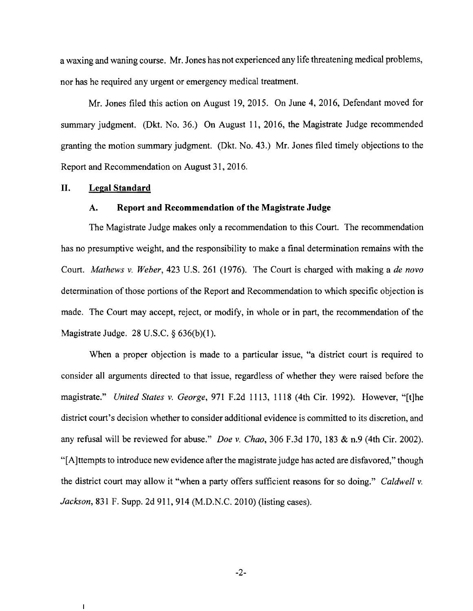a waxing and waning course. Mr. Jones has not experienced any life threatening medical problems, nor has he required any urgent or emergency medical treatment.

Mr. Jones filed this action on August 19,2015. On June 4,2016, Defendant moved for summary judgment. (Dkt. No. 36.) On August 11, 2016, the Magistrate Judge recommended granting the motion summary judgment. (Dkt. No. 43.) Mr. Jones filed timely objections to the Report and Recommendation on August 31, 2016.

#### **II. Legal Standard**

 $\mathbf{I}$ 

#### **A. Report and Recommendation of the Magistrate Judge**

The Magistrate Judge makes only a recommendation to this Court. The recommendation has no presumptive weight, and the responsibility to make a final determination remains with the Court. *Mathews* v. *Weber,* 423 U.S. 261 (1976). The Court is charged with making a *de novo*  determination of those portions of the Report and Recommendation to which specific objection is made. The Court may accept, reject, or modify, in whole or in part, the recommendation of the Magistrate Judge. 28 U.S.C. § 636(b)(1).

When a proper objection is made to a particular issue, "a district court is required to consider all arguments directed to that issue, regardless of whether they were raised before the magistrate." *United States* v. *George,* 971 F.2d 1113, 1118 (4th Cir. 1992). However, "[t]he district court's decision whether to consider additional evidence is committed to its discretion, and any refusal will be reviewed for abuse." *Doe* v. *Chao,* 306 F 3d 170, 183 & n.9 (4th Cir. 2002). "[A ]ttempts to introduce new evidence after the magistrate judge has acted are disfavored," though the district court may allow it "when a party offers sufficient reasons for so doing." *Caldwell* v. *Jackson,* 831 F. Supp. 2d 911, 914 (M.D.N.C. 2010) (listing cases).

-2-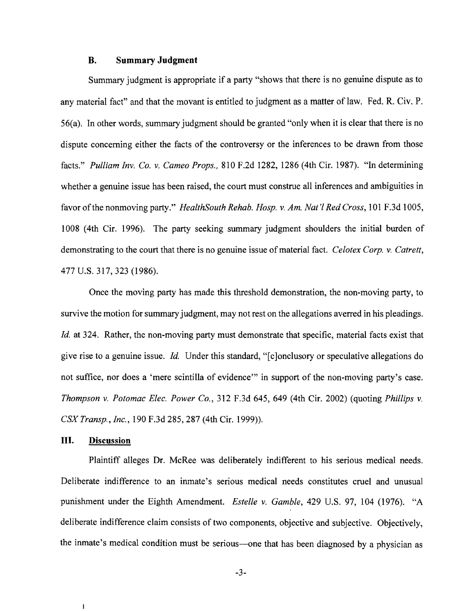### **B. Summary Judgment**

Summary judgment is appropriate if a party "shows that there is no genuine dispute as to any material fact" and that the movant is entitled to judgment as a matter of law. Fed. R. Civ. P. 56(a). In other words, summary judgment should be granted "only when it is clear that there is no dispute concerning either the facts of the controversy or the inferences to be drawn from those facts." *Pulliam Inv. Co.* v. *Cameo Props.,* 810 F.2d 1282, 1286 (4th Cir. 1987). "In determining whether a genuine issue has been raised, the court must construe all inferences and ambiguities in favor of the nonmoving party." *HealthSouth Rehab. Hosp.* v. *Am. Nat* 'I *Red Cross,* 101 F.3d 1005, 1008 (4th Cir. 1996). The party seeking summary judgment shoulders the initial burden of demonstrating to the court that there is no genuine issue of material fact. *Celotex Corp.* v. *Catrett,*  477 U.S. 317,323 (1986).

Once the moving party has made this threshold demonstration, the non-moving party, to survive the motion for summary judgment, may not rest on the allegations averred in his pleadings. *Id.* at 324. Rather, the non-moving party must demonstrate that specific, material facts exist that give rise to a genuine issue. *Id.* Under this standard, "[c]onclusory or speculative allegations do not suffice, nor does a 'mere scintilla of evidence'" in support of the non-moving party's case. *Thompson* v. *Potomac Elec. Power Co.,* 312 F.3d 645, 649 (4th Cir. 2002) (quoting *Phillips* v. *CSX Transp., Inc.,* 190 F.3d 285, 287 (4th Cir. 1999)).

### **III. Discussion**

 $\mathbf{I}$ 

Plaintiff alleges Dr. McRee was deliberately indifferent to his serious medical needs. Deliberate indifference to an inmate's serious medical needs constitutes cruel and unusual punishment under the Eighth Amendment. *Estelle* v. *Gamble,* 429 U.S. 97, 104 (1976). "A deliberate indifference claim consists of two components, objective and subjective. Objectively, the inmate's medical condition must be serious—one that has been diagnosed by a physician as

-3-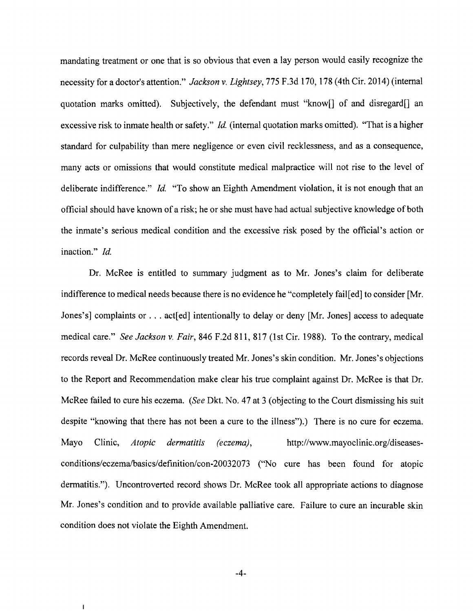mandating treatment or one that is so obvious that even a lay person would easily recognize the necessity for a doctor's attention." *Jackson* v. *Lightsey,* 775 F.3d 170, 178 (4th Cir. 2014) (internal quotation marks omitted). Subjectively, the defendant must "know of and disregard and excessive risk to inmate health or safety." *Id.* (internal quotation marks omitted). "That is a higher standard for culpability than mere negligence or even civil recklessness, and as a consequence, many acts or omissions that would constitute medical malpractice will not rise to the level of deliberate indifference." *Id.* "To show an Eighth Amendment violation, it is not enough that an official should have known of a risk; he or she must have had actual subjective knowledge of both the inmate's serious medical condition and the excessive risk posed by the official's action or inaction." *Id.* 

Dr. McRee is entitled to summary judgment as to Mr. Jones's claim for deliberate indifference to medical needs because there is no evidence he "completely fail [ed] to consider [Mr. Jones's] complaints or ... act[ed] intentionally to delay or deny [Mr. Jones] access to adequate medical care." *See Jackson* v. *Fair,* 846 F.2d 811, 817 (1 st Cir. 1988). To the contrary, medical records reveal Dr. McRee continuously treated Mr. Jones's skin condition. Mr. Jones's objections to the Report and Recommendation make clear his true complaint against Dr. McRee is that Dr. McRee failed to cure his eczema. *(See* Dkt. No. 47 at 3 (objecting to the Court dismissing his suit despite "knowing that there has not been a cure to the illness").) There is no cure for eczema. Mayo Clinic, *Atopic dermatitis (eczema),* http://www.mayoclinic.org/diseasesconditions/eczema/basics/definition/con-20032073 ("No cure has been found for atopic dermatitis."). Uncontroverted record shows Dr. McRee took all appropriate actions to diagnose Mr. Jones's condition and to provide available palliative care. Failure to cure an incurable skin condition does not violate the Eighth Amendment.

-4-

 $\mathbf{I}$